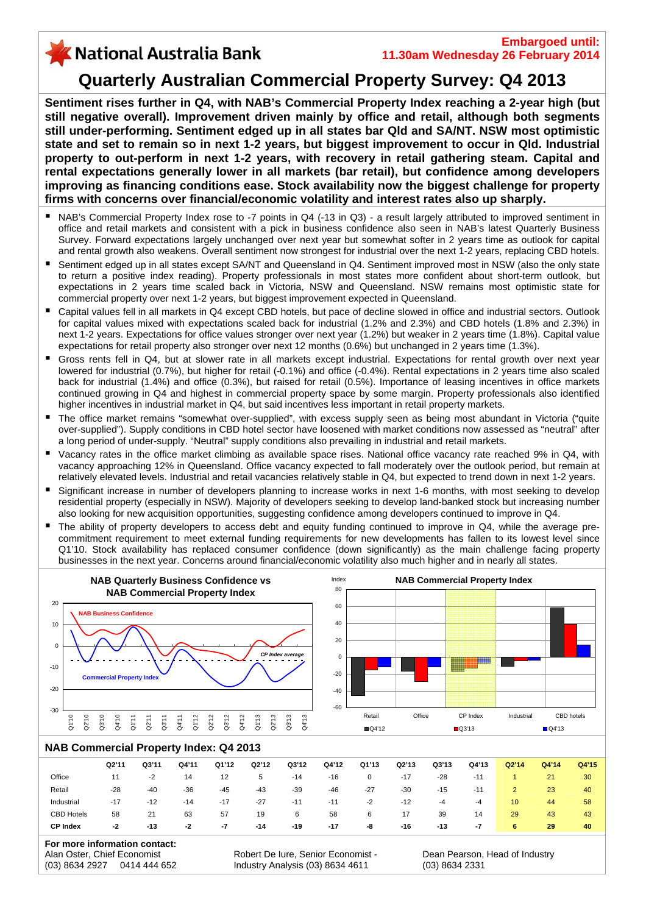# X National Australia Bank

## **Quarterly Australian Commercial Property Survey: Q4 2013**

**Sentiment rises further in Q4, with NAB's Commercial Property Index reaching a 2-year high (but still negative overall). Improvement driven mainly by office and retail, although both segments still under-performing. Sentiment edged up in all states bar Qld and SA/NT. NSW most optimistic state and set to remain so in next 1-2 years, but biggest improvement to occur in Qld. Industrial property to out-perform in next 1-2 years, with recovery in retail gathering steam. Capital and rental expectations generally lower in all markets (bar retail), but confidence among developers improving as financing conditions ease. Stock availability now the biggest challenge for property firms with concerns over financial/economic volatility and interest rates also up sharply.** 

- NAB's Commercial Property Index rose to -7 points in Q4 (-13 in Q3) a result largely attributed to improved sentiment in office and retail markets and consistent with a pick in business confidence also seen in NAB's latest Quarterly Business Survey. Forward expectations largely unchanged over next year but somewhat softer in 2 years time as outlook for capital and rental growth also weakens. Overall sentiment now strongest for industrial over the next 1-2 years, replacing CBD hotels.
- Sentiment edged up in all states except SA/NT and Queensland in Q4. Sentiment improved most in NSW (also the only state to return a positive index reading). Property professionals in most states more confident about short-term outlook, but expectations in 2 years time scaled back in Victoria, NSW and Queensland. NSW remains most optimistic state for commercial property over next 1-2 years, but biggest improvement expected in Queensland.
- Capital values fell in all markets in Q4 except CBD hotels, but pace of decline slowed in office and industrial sectors. Outlook for capital values mixed with expectations scaled back for industrial (1.2% and 2.3%) and CBD hotels (1.8% and 2.3%) in next 1-2 years. Expectations for office values stronger over next year (1.2%) but weaker in 2 years time (1.8%). Capital value expectations for retail property also stronger over next 12 months (0.6%) but unchanged in 2 years time (1.3%).
- Gross rents fell in Q4, but at slower rate in all markets except industrial. Expectations for rental growth over next year lowered for industrial (0.7%), but higher for retail (-0.1%) and office (-0.4%). Rental expectations in 2 years time also scaled back for industrial (1.4%) and office (0.3%), but raised for retail (0.5%). Importance of leasing incentives in office markets continued growing in Q4 and highest in commercial property space by some margin. Property professi onals also identified . higher incentives in industrial market in Q4, but said incentives less important in retail property markets.
- $\blacksquare$ over-supplied"). Supply conditions in CBD hotel sector have loosened with market conditions now assessed as "neutral" after The office market remains "somewhat over-supplied", with excess supply seen as being most abundant in Victoria ("quite a long period of under-supply. "Neutral" supply conditions also prevailing in industrial and retail markets.
- $\blacksquare$ Vacancy rates in the office market climbing as available space rises. National office vacancy rate reached 9% in Q4, with vacancy approaching 12% in Queensland. Office vacancy expected to fall moderately over the outlook period, but remain at relatively elevated levels. Industrial and retail vacancies relatively stable in Q4, but expected to trend down in next 1-2 years.
- $\blacksquare$ Significant increase in number of developers planning to increase works in next 1-6 months, with most seeking to develop residential property (especially in NSW). Majority of developers seeking to develop land-banked stock but increasing number also looking for new acquisition opportunities, suggesting confidence among developers continued to improve in Q4.
- $\blacksquare$ commitment requirement to meet external funding requirements for new developments has fallen to its lowest level since businesses in the next year. Concerns around financial/econom ic volatility also much higher and in nearly all states. The ability of property developers to access debt and equity funding continued to improve in Q4, while the average pre-Q1'10. Stock availability has replaced consumer confidence (down significantly) as the main challenge facing property



#### **NAB Commercial Property Index: Q4 2013**

|                   | Q2'11 | Q3'11 | Q4'11 | Q1'12 | Q2'12        | Q3'12 | Q4'12 | Q1'13 | Q2'13 | Q3'13 | Q4'13 | Q2'14 | Q4'14 | Q4'15 |
|-------------------|-------|-------|-------|-------|--------------|-------|-------|-------|-------|-------|-------|-------|-------|-------|
| Office            |       | $-2$  | 14    | 12    | $\mathbf{p}$ | $-14$ | -16   | 0     | $-17$ | $-28$ | $-11$ |       | 21    | 30    |
| Retail            | $-28$ | $-40$ | $-36$ | $-45$ | $-43$        | $-39$ | $-46$ | $-27$ | $-30$ | $-15$ | $-11$ |       | 23    | 40    |
| Industrial        | $-17$ | $-12$ | $-14$ | $-17$ | $-27$        | $-11$ | $-11$ | $-2$  | $-12$ | -4    | -4    | 10    | 44    | 58    |
| <b>CBD Hotels</b> | 58    | 21    | 63    | 57    | 19           | 6     | 58    | 6     | 17    | 39    | 14    | 29    | 43    | 43    |
| <b>CP Index</b>   | -2    | $-13$ | -2    | -7    | -14          | -19   | $-17$ | -8    | -16   | -13   | -7    | 6     | 29    | 40    |
|                   |       |       |       |       |              |       |       |       |       |       |       |       |       |       |

| For more information contact: |  |                                    |  |  |  |  |  |
|-------------------------------|--|------------------------------------|--|--|--|--|--|
| Alan Oster, Chief Economist   |  | Robert De Iure, Senior Economist - |  |  |  |  |  |
| (03) 8634 2927 0414 444 652   |  | Industry Analysis (03) 8634 4611   |  |  |  |  |  |

Dean Pearson, Head of Industry (03) 8634 2331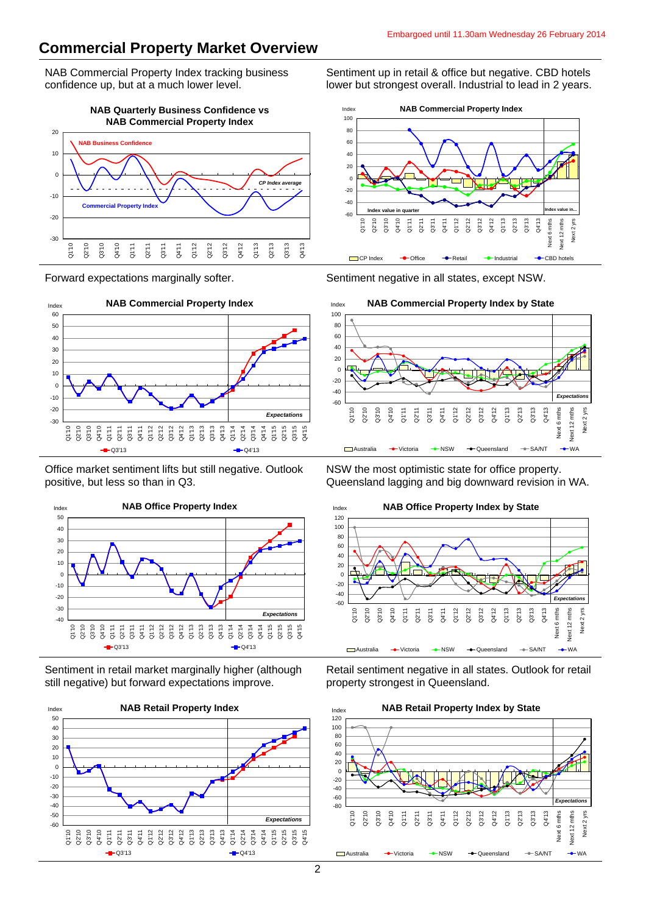### **Commercial Property Market Overview**

NAB Commercial Property Index tracking business confidence up, but at a much lower level.

**NAB Quarterly Business Confidence vs NAB Commercial Property Index** -30 -20 -10  $\epsilon$ 10 20 Q1'10 Q2'10 Q3'10 Q4'10 Q1'11 Q2'11 Q3'11 Q4'11 Q1'12 Q2'12 Q3'12 Q4'12 Q1'13 Q2'13 Q3'13 Q4'13 **NAB Business Confidence Commercial Property Index** *CP Index average*

Forward expectations marginally softer.



Office market sentiment lifts but still negative. Outlook positive, but less so than in Q3.



Sentiment in retail market marginally higher (although still negative) but forward expectations improve.



Sentiment up in retail & office but negative. CBD hotels lower but strongest overall. Industrial to lead in 2 years.



Sentiment negative in all states, except NSW.



NSW the most optimistic state for office property. Queensland lagging and big downward revision in WA.



Retail sentiment negative in all states. Outlook for retail property strongest in Queensland.

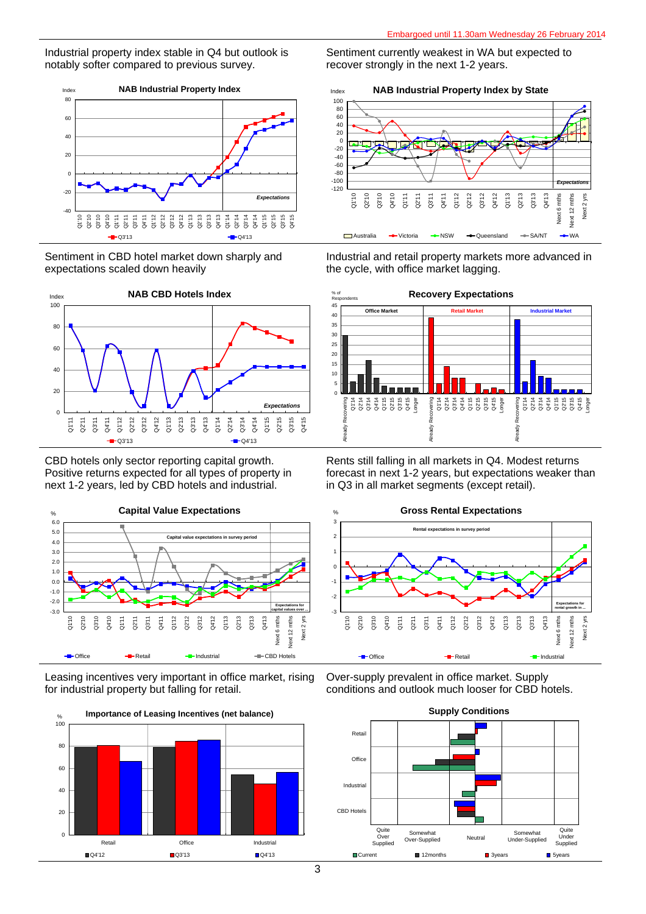Industrial property index stable in Q4 but outlook is notably softer compared to previous survey.



Sentiment in CBD hotel market down sharply and expectations scaled down heavily



CBD hotels only sector reporting capital growth. Positive returns expected for all types of property in next 1-2 years, led by CBD hotels and industrial.



Leasing incentives very important in office market, rising for industrial property but falling for retail.



Sentiment currently weakest in WA but expected to recover strongly in the next 1-2 years.





Industrial and retail property markets more advanced in the cycle, with office market lagging.



Rents still falling in all markets in Q4. Modest returns forecast in next 1-2 years, but expectations weaker than in Q3 in all market segments (except retail).



Over-supply prevalent in office market. Supply conditions and outlook much looser for CBD hotels.

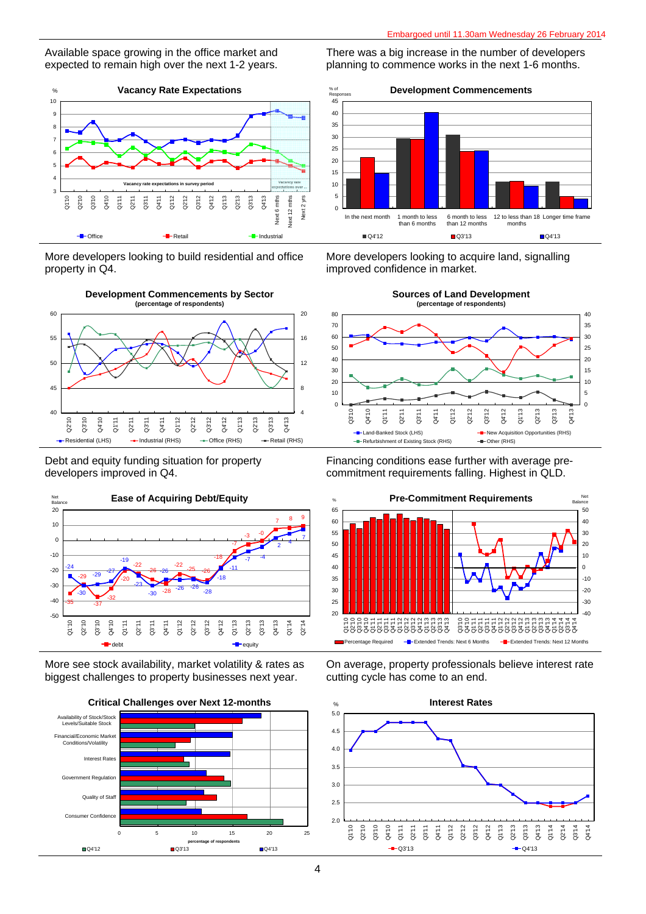Available space growing in the office market and expected to remain high over the next 1-2 years.



More developers looking to build residential and office property in Q4.



Debt and equity funding situation for property developers improved in Q4.



More see stock availability, market volatility & rates as biggest challenges to property businesses next year.



**Critical Challenges over Next 12-months**

There was a big increase in the number of developers planning to commence works in the next 1-6 months.



More developers looking to acquire land, signalling improved confidence in market.



Financing conditions ease further with average precommitment requirements falling. Highest in QLD.



On average, property professionals believe interest rate cutting cycle has come to an end.

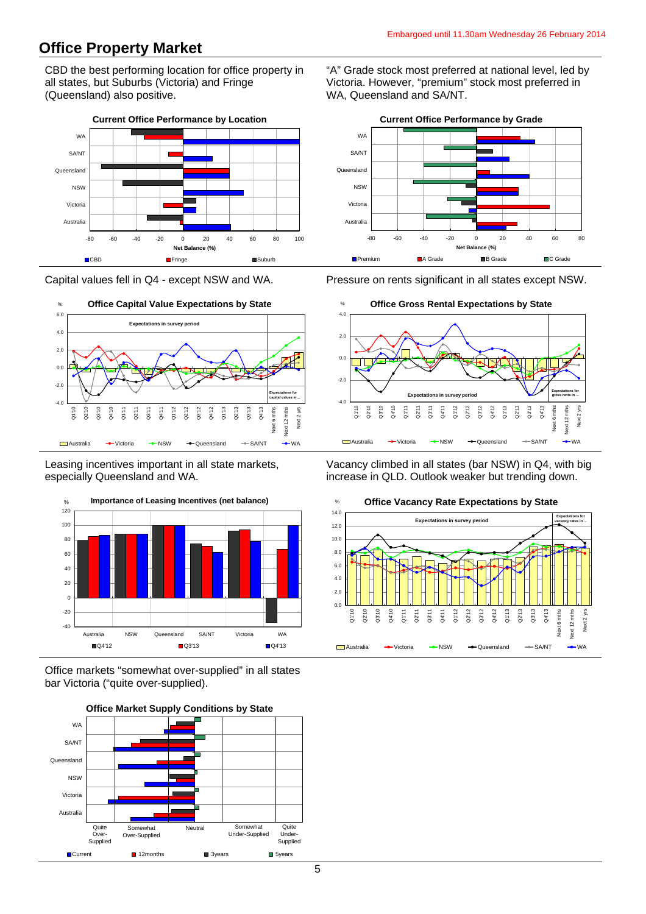### **Office Property Market**

CBD the best performing location for office property in all states, but Suburbs (Victoria) and Fringe (Queensland) also positive.



Capital values fell in Q4 - except NSW and WA.



Leasing incentives important in all state markets, especially Queensland and WA.



Office markets "somewhat over-supplied" in all states bar Victoria ("quite over-supplied).



"A" Grade stock most preferred at national level, led by Victoria. However, "premium" stock most preferred in WA, Queensland and SA/NT.



Pressure on rents significant in all states except NSW.



Vacancy climbed in all states (bar NSW) in Q4, with big increase in QLD. Outlook weaker but trending down.



#### **Office Vacancy Rate Expectations by State**

5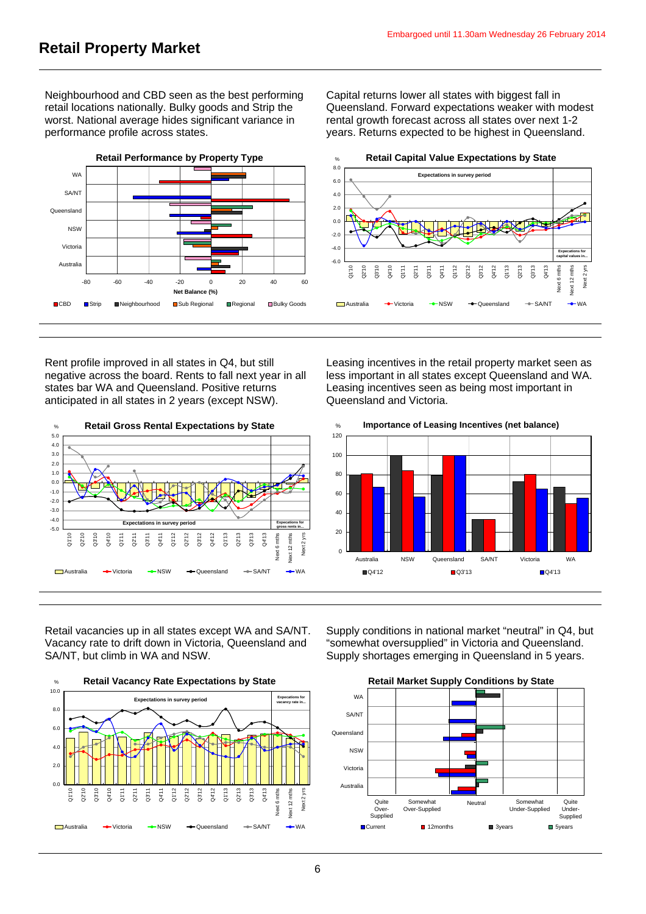Neighbourhood and CBD seen as the best performing retail locations nationally. Bulky goods and Strip the worst. National average hides significant variance in performance profile across states.

Capital returns lower all states with biggest fall in Queensland. Forward expectations weaker with modest rental growth forecast across all states over next 1-2 years. Returns expected to be highest in Queensland.



Rent profile improved in all states in Q4, but still negative across the board. Rents to fall next year in all states bar WA and Queensland. Positive returns anticipated in all states in 2 years (except NSW).



Leasing incentives in the retail property market seen as less important in all states except Queensland and WA. Leasing incentives seen as being most important in Queensland and Victoria.



Retail vacancies up in all states except WA and SA/NT. Vacancy rate to drift down in Victoria, Queensland and SA/NT, but climb in WA and NSW.



Supply conditions in national market "neutral" in Q4, but "somewhat oversupplied" in Victoria and Queensland. Supply shortages emerging in Queensland in 5 years.

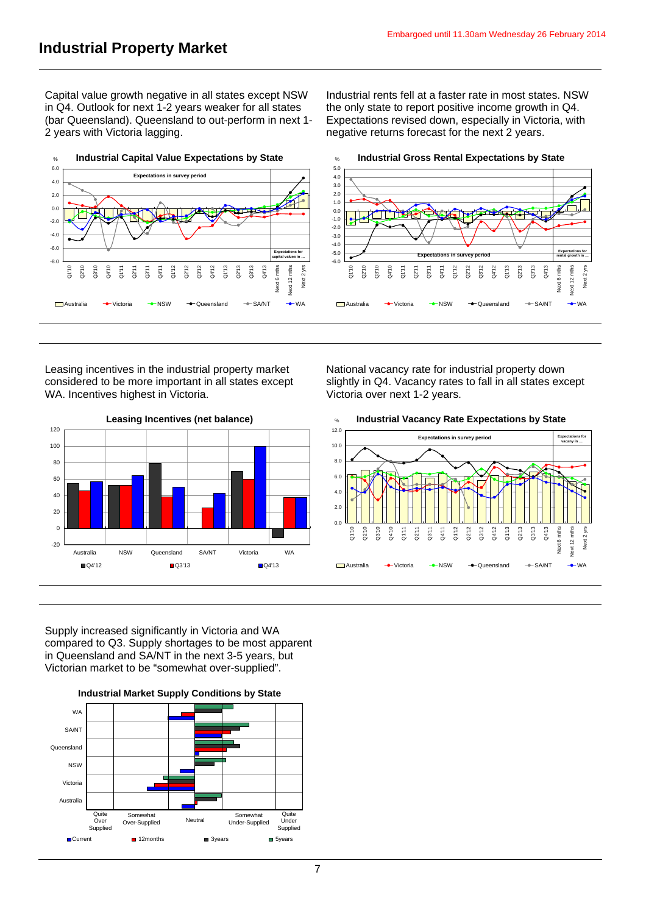Capital value growth negative in all states except NSW in Q4. Outlook for next 1-2 years weaker for all states (bar Queensland). Queensland to out-perform in next 1- 2 years with Victoria lagging.

Industrial rents fell at a faster rate in most states. NSW the only state to report positive income growth in Q4. Expectations revised down, especially in Victoria, with negative returns forecast for the next 2 years.



Leasing incentives in the industrial property market considered to be more important in all states except WA. Incentives highest in Victoria.



National vacancy rate for industrial property down slightly in Q4. Vacancy rates to fall in all states except Victoria over next 1-2 years.





Supply increased significantly in Victoria and WA compared to Q3. Supply shortages to be most apparent in Queensland and SA/NT in the next 3-5 years, but Victorian market to be "somewhat over-supplied".



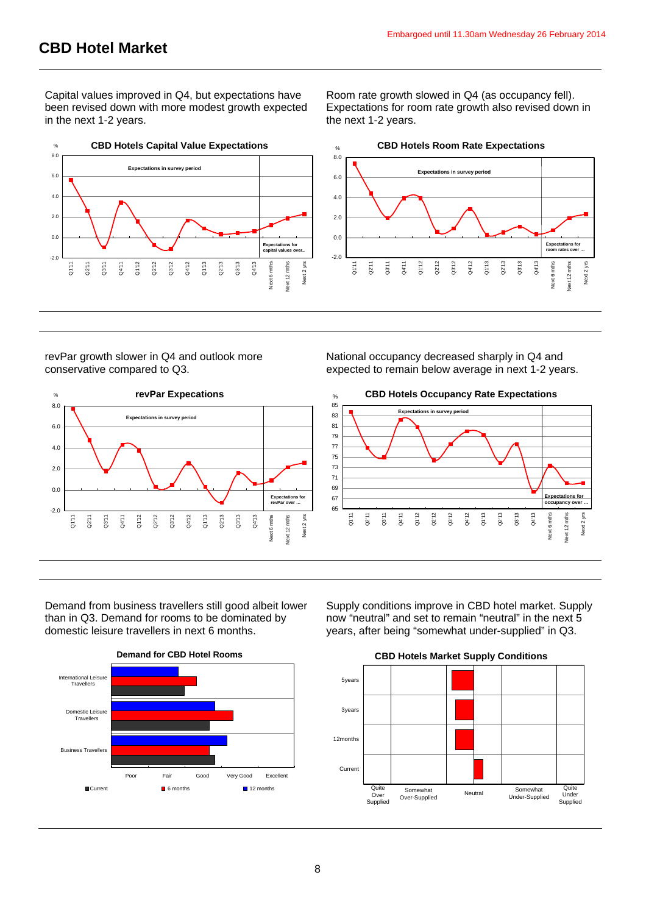Capital values improved in Q4, but expectations have been revised down with more modest growth expected in the next 1-2 years.

Room rate growth slowed in Q4 (as occupancy fell). Expectations for room rate growth also revised down in the next 1-2 years.



revPar growth slower in Q4 and outlook more conservative compared to Q3.



National occupancy decreased sharply in Q4 and expected to remain below average in next 1-2 years.



Demand from business travellers still good albeit lower than in Q3. Demand for rooms to be dominated by domestic leisure travellers in next 6 months.



Supply conditions improve in CBD hotel market. Supply now "neutral" and set to remain "neutral" in the next 5 years, after being "somewhat under-supplied" in Q3.

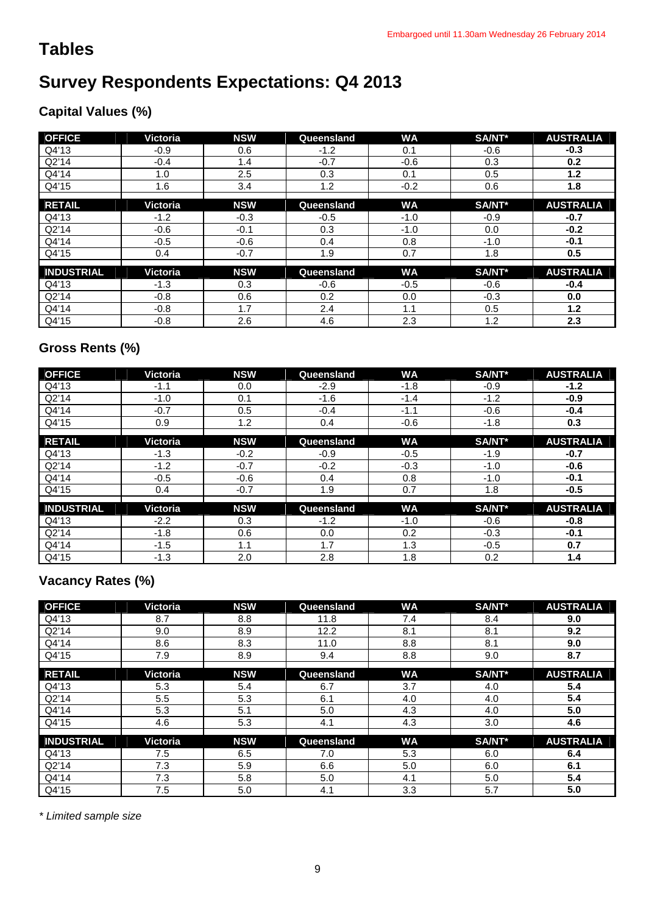# **Tables**

# **Survey Respondents Expectations: Q4 2013**

## **Capital Values (%)**

| <b>OFFICE</b>     | Victoria | <b>NSW</b> | Queensland | <b>WA</b> | SA/NT*        | <b>AUSTRALIA</b> |
|-------------------|----------|------------|------------|-----------|---------------|------------------|
| Q4'13             | $-0.9$   | 0.6        | $-1.2$     | 0.1       | $-0.6$        | $-0.3$           |
| Q2'14             | $-0.4$   | 1.4        | $-0.7$     | $-0.6$    | 0.3           | 0.2              |
| Q4'14             | 1.0      | 2.5        | 0.3        | 0.1       | 0.5           | 1.2              |
| Q4'15             | 1.6      | 3.4        | 1.2        | $-0.2$    | 0.6           | 1.8              |
|                   |          |            |            |           |               |                  |
| <b>RETAIL</b>     | Victoria | <b>NSW</b> | Queensland | <b>WA</b> | SA/NT*        | <b>AUSTRALIA</b> |
| Q4'13             | $-1.2$   | $-0.3$     | $-0.5$     | $-1.0$    | $-0.9$        | $-0.7$           |
| Q2'14             | $-0.6$   | $-0.1$     | 0.3        | $-1.0$    | 0.0           | $-0.2$           |
| Q4'14             | $-0.5$   | $-0.6$     | 0.4        | 0.8       | $-1.0$        | $-0.1$           |
| Q4'15             | 0.4      | $-0.7$     | 1.9        | 0.7       | 1.8           | 0.5              |
|                   |          |            |            |           |               |                  |
| <b>INDUSTRIAL</b> | Victoria | <b>NSW</b> | Queensland | <b>WA</b> | <b>SA/NT*</b> | <b>AUSTRALIA</b> |
| Q4'13             | $-1.3$   | 0.3        | $-0.6$     | $-0.5$    | $-0.6$        | $-0.4$           |
| Q2'14             | $-0.8$   | 0.6        | 0.2        | 0.0       | $-0.3$        | 0.0              |
| Q4'14             | $-0.8$   | 1.7        | 2.4        | 1.1       | 0.5           | 1.2              |
| Q4'15             | $-0.8$   | 2.6        | 4.6        | 2.3       | 1.2           | 2.3              |

## **Gross Rents (%)**

| <b>OFFICE</b>     | Victoria | <b>NSW</b> | Queensland    | <b>WA</b> | SA/NT* | <b>AUSTRALIA</b> |
|-------------------|----------|------------|---------------|-----------|--------|------------------|
| Q4'13             | $-1.1$   | 0.0        | $-2.9$        | $-1.8$    | $-0.9$ | $-1.2$           |
| Q2'14             | $-1.0$   | 0.1        | $-1.6$        | $-1.4$    | $-1.2$ | $-0.9$           |
| Q4'14             | $-0.7$   | 0.5        | $-0.4$        | $-1.1$    | $-0.6$ | $-0.4$           |
| Q4'15             | 0.9      | 1.2        | $0.4^{\circ}$ | $-0.6$    | $-1.8$ | 0.3              |
|                   |          |            |               |           |        |                  |
| <b>RETAIL</b>     | Victoria | <b>NSW</b> | Queensland    | <b>WA</b> | SA/NT* | <b>AUSTRALIA</b> |
| Q4'13             | $-1.3$   | $-0.2$     | $-0.9$        | $-0.5$    | $-1.9$ | $-0.7$           |
| Q2'14             | $-1.2$   | $-0.7$     | $-0.2$        | $-0.3$    | $-1.0$ | $-0.6$           |
| Q4'14             | $-0.5$   | $-0.6$     | $0.4^{\circ}$ | 0.8       | $-1.0$ | $-0.1$           |
| Q4'15             | 0.4      | $-0.7$     | 1.9           | 0.7       | 1.8    | $-0.5$           |
|                   |          |            |               |           |        |                  |
| <b>INDUSTRIAL</b> | Victoria | <b>NSW</b> | Queensland    | <b>WA</b> | SA/NT* | <b>AUSTRALIA</b> |
| Q4'13             | $-2.2$   | 0.3        | $-1.2$        | $-1.0$    | $-0.6$ | $-0.8$           |
| Q2'14             | $-1.8$   | 0.6        | 0.0           | 0.2       | $-0.3$ | $-0.1$           |
| Q4'14             | $-1.5$   | 1.1        | 1.7           | 1.3       | $-0.5$ | 0.7              |
| Q4'15             | $-1.3$   | 2.0        | 2.8           | 1.8       | 0.2    | 1.4              |

## **Vacancy Rates (%)**

| <b>OFFICE</b>     | Victoria | <b>NSW</b> | Queensland | <b>WA</b> | SA/NT* | <b>AUSTRALIA</b> |
|-------------------|----------|------------|------------|-----------|--------|------------------|
| Q4'13             | 8.7      | 8.8        | 11.8       | 7.4       | 8.4    | 9.0              |
| Q2'14             | 9.0      | 8.9        | 12.2       | 8.1       | 8.1    | 9.2              |
| Q4'14             | 8.6      | 8.3        | 11.0       | 8.8       | 8.1    | 9.0              |
| Q4'15             | 7.9      | 8.9        | 9.4        | 8.8       | 9.0    | 8.7              |
|                   |          |            |            |           |        |                  |
| <b>RETAIL</b>     | Victoria | <b>NSW</b> | Queensland | <b>WA</b> | SA/NT* | <b>AUSTRALIA</b> |
| Q4'13             | 5.3      | 5.4        | 6.7        | 3.7       | 4.0    | 5.4              |
| Q2'14             | 5.5      | 5.3        | 6.1        | 4.0       | 4.0    | 5.4              |
| Q4'14             | 5.3      | 5.1        | 5.0        | 4.3       | 4.0    | 5.0              |
| Q4'15             | 4.6      | 5.3        | 4.1        | 4.3       | 3.0    | 4.6              |
|                   |          |            |            |           |        |                  |
| <b>INDUSTRIAL</b> | Victoria | <b>NSW</b> | Queensland | <b>WA</b> | SA/NT* | <b>AUSTRALIA</b> |
| Q4'13             | 7.5      | 6.5        | 7.0        | 5.3       | 6.0    | 6.4              |
| Q2'14             | 7.3      | 5.9        | 6.6        | 5.0       | 6.0    | 6.1              |
| Q4'14             | 7.3      | 5.8        | 5.0        | 4.1       | 5.0    | 5.4              |
| Q4'15             | 7.5      | 5.0        | 4.1        | 3.3       | 5.7    | 5.0              |

*\* Limited sample size*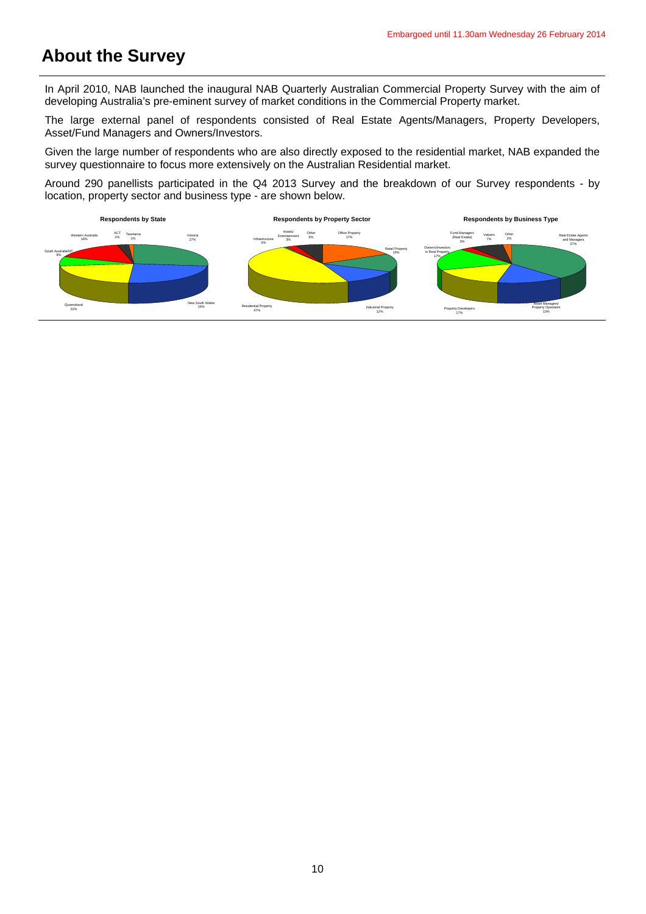# **About the Survey**

In April 2010, NAB launched the inaugural NAB Quarterly Australian Commercial Property Survey with the aim of developing Australia's pre-eminent survey of market conditions in the Commercial Property market.

The large external panel of respondents consisted of Real Estate Agents/Managers, Property Developers, Asset/Fund Managers and Owners/Investors.

Given the large number of respondents who are also directly exposed to the residential market, NAB expanded the survey questionnaire to focus more extensively on the Australian Residential market.

Around 290 panellists participated in the Q4 2013 Survey and the breakdown of our Survey respondents - by location, property sector and business type - are shown below.